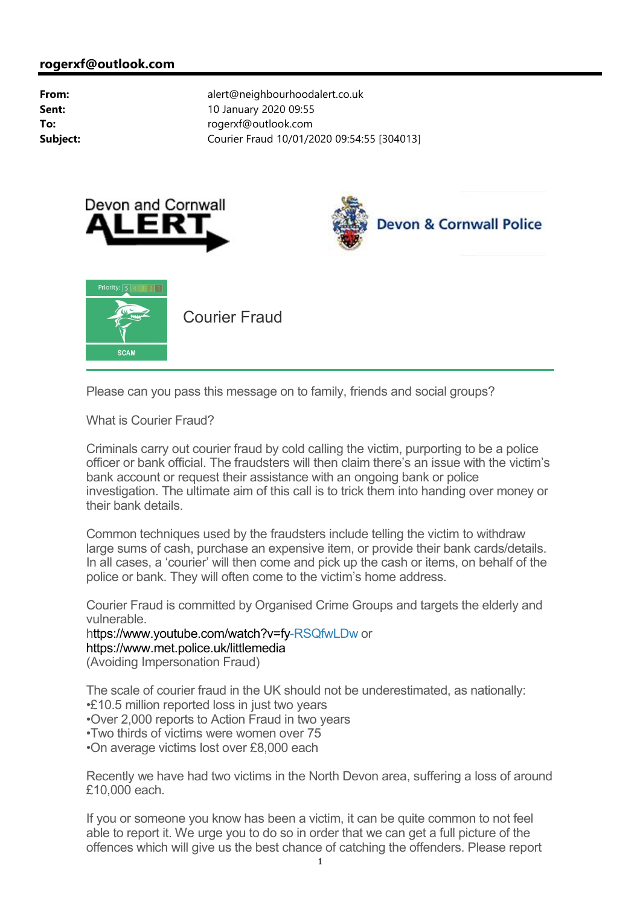





Please can you pass this message on to family, friends and social groups?

What is Courier Fraud?

Criminals carry out courier fraud by cold calling the victim, purporting to be a police officer or bank official. The fraudsters will then claim there's an issue with the victim's bank account or request their assistance with an ongoing bank or police investigation. The ultimate aim of this call is to trick them into handing over money or their bank details.

Common techniques used by the fraudsters include telling the victim to withdraw large sums of cash, purchase an expensive item, or provide their bank cards/details. In all cases, a 'courier' will then come and pick up the cash or items, on behalf of the police or bank. They will often come to the victim's home address.

Courier Fraud is committed by Organised Crime Groups and targets the elderly and vulnerable.

h[ttps://www.youtube.com/watch?v=fy-R](ttps://www.youtube.com/watch?v=fy)SQfwLDw or <https://www.met.police.uk/littlemedia> (Avoiding Impersonation Fraud)

The scale of courier fraud in the UK should not be underestimated, as nationally: •£10.5 million reported loss in just two years

•Over 2,000 reports to Action Fraud in two years

•Two thirds of victims were women over 75

•On average victims lost over £8,000 each

Recently we have had two victims in the North Devon area, suffering a loss of around £10,000 each.

If you or someone you know has been a victim, it can be quite common to not feel able to report it. We urge you to do so in order that we can get a full picture of the offences which will give us the best chance of catching the offenders. Please report